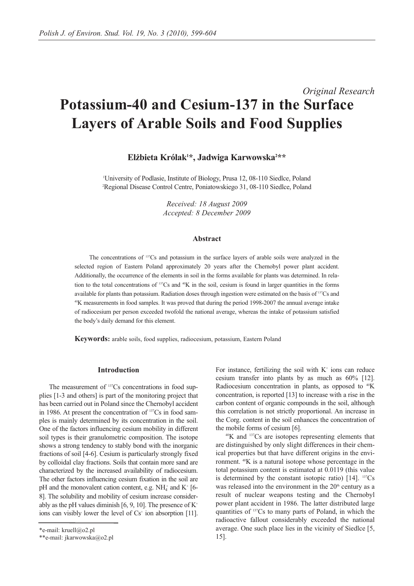# *Original Research* **Potassium-40 and Cesium-137 in the Surface Layers of Arable Soils and Food Supplies**

# **Elżbieta Królak1 \*, Jadwiga Karwowska2 \*\***

'University of Podlasie, Institute of Biology, Prusa 12, 08-110 Siedlce, Poland 2 Regional Disease Control Centre, Poniatowskiego 31, 08-110 Siedlce, Poland

> *Received: 18 August 2009 Accepted: 8 December 2009*

# **Abstract**

The concentrations of 137Cs and potassium in the surface layers of arable soils were analyzed in the selected region of Eastern Poland approximately 20 years after the Chernobyl power plant accident. Additionally, the occurrence of the elements in soil in the forms available for plants was determined. In relation to the total concentrations of  $137Cs$  and  $40K$  in the soil, cesium is found in larger quantities in the forms available for plants than potassium. Radiation doses through ingestion were estimated on the basis of <sup>137</sup>Cs and 40K measurements in food samples. It was proved that during the period 1998-2007 the annual average intake of radiocesium per person exceeded twofold the national average, whereas the intake of potassium satisfied the body's daily demand for this element.

**Keywords:** arable soils, food supplies, radiocesium, potassium, Eastern Poland

# **Introduction**

The measurement of <sup>137</sup>Cs concentrations in food supplies [1-3 and others] is part of the monitoring project that has been carried out in Poland since the Chernobyl accident in 1986. At present the concentration of 137Cs in food samples is mainly determined by its concentration in the soil. One of the factors influencing cesium mobility in different soil types is their granulometric composition. The isotope shows a strong tendency to stably bond with the inorganic fractions of soil [4-6]. Cesium is particularly strongly fixed by colloidal clay fractions. Soils that contain more sand are characterized by the increased availability of radiocesium. The other factors influencing cesium fixation in the soil are pH and the monovalent cation content, e.g.  $NH_4^+$  and  $K^+$  [6-8]. The solubility and mobility of cesium increase considerably as the pH values diminish [6, 9, 10]. The presence of  $K^+$ ions can visibly lower the level of  $Cs<sup>+</sup>$  ion absorption [11].

For instance, fertilizing the soil with  $K^+$  ions can reduce cesium transfer into plants by as much as 60% [12]. Radiocesium concentration in plants, as opposed to  ${}^{40}$ K concentration, is reported [13] to increase with a rise in the carbon content of organic compounds in the soil, although this correlation is not strictly proportional. An increase in the Corg. content in the soil enhances the concentration of the mobile forms of cesium [6].

40K and 137Cs are isotopes representing elements that are distinguished by only slight differences in their chemical properties but that have different origins in the environment. 40K is a natural isotope whose percentage in the total potassium content is estimated at 0.0119 (this value is determined by the constant isotopic ratio)  $[14]$ . <sup>137</sup>Cs was released into the environment in the  $20<sup>th</sup>$  century as a result of nuclear weapons testing and the Chernobyl power plant accident in 1986. The latter distributed large quantities of 137Cs to many parts of Poland, in which the radioactive fallout considerably exceeded the national average. One such place lies in the vicinity of Siedlce [5, 15].

<sup>\*</sup>e-mail: kruell@o2.pl

<sup>\*\*</sup>e-mail: jkarwowska@o2.pl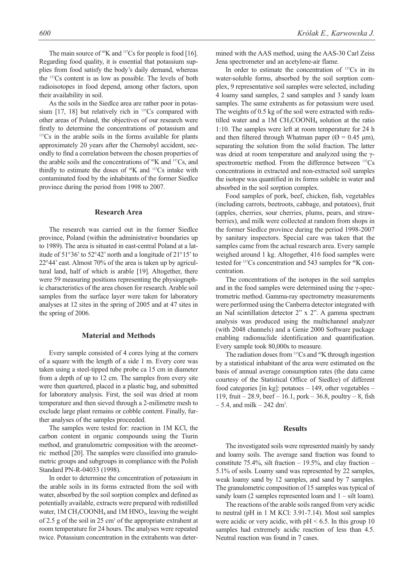The main source of  $40K$  and  $137Cs$  for people is food [16]. Regarding food quality, it is essential that potassium supplies from food satisfy the body's daily demand, whereas the 137Cs content is as low as possible. The levels of both radioisotopes in food depend, among other factors, upon their availability in soil.

As the soils in the Siedlce area are rather poor in potassium  $[17, 18]$  but relatively rich in  $137Cs$  compared with other areas of Poland, the objectives of our research were firstly to determine the concentrations of potassium and <sup>137</sup>Cs in the arable soils in the forms available for plants approximately 20 years after the Chernobyl accident, secondly to find a correlation between the chosen properties of the arable soils and the concentrations of <sup>40</sup>K and <sup>137</sup>Cs, and thirdly to estimate the doses of 40K and 137Cs intake with contaminated food by the inhabitants of the former Siedlce province during the period from 1998 to 2007.

## **Research Area**

The research was carried out in the former Siedlce province, Poland (within the administrative boundaries up to 1989). The area is situated in east-central Poland at a latitude of 51°36' to 52°42' north and a longitude of 21°15' to 22°44' east. Almost 70% of the area is taken up by agricultural land, half of which is arable [19]. Altogether, there were 59 measuring positions representing the physiographic characteristics of the area chosen for research. Arable soil samples from the surface layer were taken for laboratory analyses at 12 sites in the spring of 2005 and at 47 sites in the spring of 2006.

#### **Material and Methods**

Every sample consisted of 4 cores lying at the corners of a square with the length of a side 1 m. Every core was taken using a steel-tipped tube probe ca 15 cm in diameter from a depth of up to 12 cm. The samples from every site were then quartered, placed in a plastic bag, and submitted for laboratory analysis. First, the soil was dried at room temperature and then sieved through a 2-milimetre mesh to exclude large plant remains or cobble content. Finally, further analyses of the samples proceeded.

The samples were tested for: reaction in 1M KCl, the carbon content in organic compounds using the Tiurin method, and granulometric composition with the areometric method [20]. The samples were classified into granulometric groups and subgroups in compliance with the Polish Standard PN-R-04033 (1998).

In order to determine the concentration of potassium in the arable soils in its forms extracted from the soil with water, absorbed by the soil sorption complex and defined as potentially available, extracts were prepared with redistilled water,  $1M CH<sub>3</sub>COONH<sub>4</sub>$  and  $1M HNO<sub>3</sub>$ , leaving the weight of 2.5 g of the soil in 25 cm3 of the appropriate extrahent at room temperature for 24 hours. The analyses were repeated twice. Potassium concentration in the extrahents was determined with the AAS method, using the AAS-30 Carl Zeiss Jena spectrometer and an acetylene-air flame.

In order to estimate the concentration of  $137Cs$  in its water-soluble forms, absorbed by the soil sorption complex, 9 representative soil samples were selected, including 4 loamy sand samples, 2 sand samples and 3 sandy loam samples. The same extrahents as for potassium were used. The weights of 0.5 kg of the soil were extracted with redistilled water and a 1M  $CH_3COONH_4$  solution at the ratio 1:10. The samples were left at room temperature for 24 h and then filtered through Whatman paper ( $\varnothing$  = 0.45  $\mu$ m), separating the solution from the solid fraction. The latter was dried at room temperature and analyzed using the γspectrometric method. From the difference between <sup>137</sup>Cs concentrations in extracted and non-extracted soil samples the isotope was quantified in its forms soluble in water and absorbed in the soil sorption complex.

Food samples of pork, beef, chicken, fish, vegetables (including carrots, beetroots, cabbage, and potatoes), fruit (apples, cherries, sour cherries, plums, pears, and strawberries), and milk were collected at random from shops in the former Siedlce province during the period 1998-2007 by sanitary inspectors. Special care was taken that the samples came from the actual research area. Every sample weighed around 1 kg. Altogether, 416 food samples were tested for <sup>137</sup>Cs concentration and 543 samples for <sup>40</sup>K concentration.

The concentrations of the isotopes in the soil samples and in the food samples were determined using the γ-spectrometric method. Gamma-ray spectrometry measurements were performed using the Canberra detector integrated with an NaI scintillation detector 2" x 2". A gamma spectrum analysis was produced using the multichannel analyzer (with 2048 channels) and a Genie 2000 Software package enabling radionuclide identification and quantification. Every sample took 80,000s to measure.

The radiation doses from <sup>137</sup>Cs and <sup>40</sup>K through ingestion by a statistical inhabitant of the area were estimated on the basis of annual average consumption rates (the data came courtesy of the Statistical Office of Siedlce) of different food categories [in kg]: potatoes  $-149$ , other vegetables  $-$ 119, fruit – 28.9, beef – 16.1, pork – 36.8, poultry – 8, fish  $-5.4$ , and milk  $-242$  dm<sup>3</sup>.

#### **Results**

The investigated soils were represented mainly by sandy and loamy soils. The average sand fraction was found to constitute 75.4%, silt fraction  $-19.5\%$ , and clay fraction  $-$ 5.1% of soils. Loamy sand was represented by 22 samples, weak loamy sand by 12 samples, and sand by 7 samples. The granulometric composition of 15 samples was typical of sandy loam (2 samples represented loam and  $1 -$  silt loam).

The reactions of the arable soils ranged from very acidic to neutral (pH in 1 M KCl: 3.91-7.14). Most soil samples were acidic or very acidic, with  $pH < 6.5$ . In this group 10 samples had extremely acidic reaction of less than 4.5. Neutral reaction was found in 7 cases.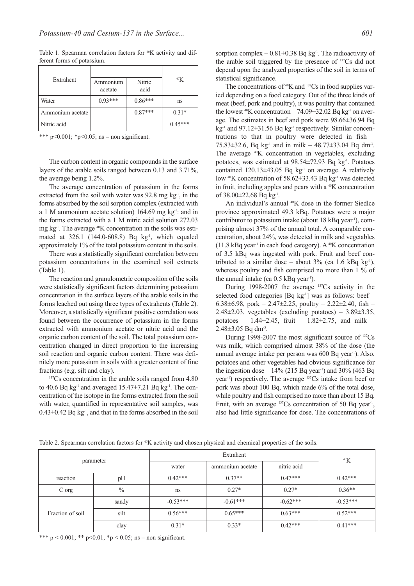Table 1. Spearman correlation factors for <sup>40</sup>K activity and different forms of potassium.

| Extrahent        | Ammonium<br>acetate | Nitric<br>acid | 40K       |
|------------------|---------------------|----------------|-----------|
| Water            | $0.93***$           | $0.86***$      | ns        |
| Ammonium acetate |                     | $0.87***$      | $0.31*$   |
| Nitric acid      |                     |                | $0.45***$ |

\*\*\* p<0.001;  $*$  p<0.05; ns – non significant.

The carbon content in organic compounds in the surface layers of the arable soils ranged between 0.13 and 3.71%, the average being 1.2%.

The average concentration of potassium in the forms extracted from the soil with water was  $92.8$  mg kg<sup>-1</sup>, in the forms absorbed by the soil sorption complex (extracted with a 1 M ammonium acetate solution) 164.69 mg  $kg<sup>-1</sup>$ : and in the forms extracted with a 1 M nitric acid solution 272.03 mg  $kg<sup>-1</sup>$ . The average  $^{40}K$  concentration in the soils was estimated at 326.1 (144.0-608.8) Bq kg<sup>-1</sup>, which equaled approximately 1% of the total potassium content in the soils.

There was a statistically significant correlation between potassium concentrations in the examined soil extracts (Table 1).

The reaction and granulometric composition of the soils were statistically significant factors determining potassium concentration in the surface layers of the arable soils in the forms leached out using three types of extrahents (Table 2). Moreover, a statistically significant positive correlation was found between the occurrence of potassium in the forms extracted with ammonium acetate or nitric acid and the organic carbon content of the soil. The total potassium concentration changed in direct proportion to the increasing soil reaction and organic carbon content. There was definitely more potassium in soils with a greater content of fine fractions (e.g. silt and clay).

<sup>137</sup>Cs concentration in the arable soils ranged from 4.80 to 40.6 Bq kg<sup>-1</sup> and averaged  $15.47\pm7.21$  Bq kg<sup>-1</sup>. The concentration of the isotope in the forms extracted from the soil with water, quantified in representative soil samples, was  $0.43\pm0.42$  Bq kg<sup>-1</sup>, and that in the forms absorbed in the soil sorption complex –  $0.81 \pm 0.38$  Bq kg<sup>-1</sup>. The radioactivity of the arable soil triggered by the presence of 137Cs did not depend upon the analyzed properties of the soil in terms of statistical significance.

The concentrations of <sup>40</sup>K and <sup>137</sup>Cs in food supplies varied depending on a food category. Out of the three kinds of meat (beef, pork and poultry), it was poultry that contained the lowest  ${}^{40}$ K concentration – 74.09 $\pm$ 32.02 Bq kg<sup>-1</sup> on average. The estimates in beef and pork were 98.66±36.94 Bq  $kg<sup>-1</sup>$  and 97.12 $\pm$ 31.56 Bq kg<sup>-1</sup> respectively. Similar concentrations to that in poultry were detected in fish – 75.83 $\pm$ 32.6, Bq kg<sup>-1</sup> and in milk – 48.77 $\pm$ 33.04 Bq dm<sup>-3</sup>. The average 40K concentration in vegetables, excluding potatoes, was estimated at 98.54±72.93 Bq kg-1. Potatoes contained  $120.13\pm43.05$  Bq kg<sup>-1</sup> on average. A relatively low 40K concentration of 58.62±33.43 Bq kg-1 was detected in fruit, including apples and pears with a 40K concentration of  $38.00 \pm 22.68$  Bq kg<sup>-1</sup>.

An individual's annual <sup>40</sup>K dose in the former Siedlce province approximated 49.3 kBq. Potatoes were a major contributor to potassium intake (about  $18 \text{ kBq year}$ ), comprising almost 37% of the annual total. A comparable concentration, about 24%, was detected in milk and vegetables  $(11.8 \text{ kBq year}^1 \text{ in each food category})$ . A <sup>40</sup>K concentration of 3.5 kBq was ingested with pork. Fruit and beef contributed to a similar dose – about  $3\%$  (ca 1.6 kBq kg<sup>-1</sup>), whereas poultry and fish comprised no more than 1 % of the annual intake (ca  $0.5$  kBq year<sup>1</sup>).

During 1998-2007 the average 137Cs activity in the selected food categories [Bq kg<sup>-1</sup>] was as follows: beef – 6.38 $\pm$ 6.98, pork – 2.47 $\pm$ 2.25, poultry – 2.22 $\pm$ 2.40, fish – 2.48 $\pm$ 2.03, vegetables (excluding potatoes) – 3.89 $\pm$ 3.35, potatoes – 1.44 $\pm$ 2.45, fruit – 1.82 $\pm$ 2.75, and milk –  $2.48\pm3.05$  Bq dm<sup>-3</sup>.

During 1998-2007 the most significant source of 137Cs was milk, which comprised almost 38% of the dose (the annual average intake per person was 600 Bq year<sup>1</sup>). Also, potatoes and other vegetables had obvious significance for the ingestion dose  $-14\%$  (215 Bq year<sup>1</sup>) and 30% (463 Bq year-1) respectively. The average 137Cs intake from beef or pork was about 100 Bq, which made 6% of the total dose, while poultry and fish comprised no more than about 15 Bq. Fruit, with an average  $137Cs$  concentration of 50 Bq year<sup>1</sup>, also had little significance for dose. The concentrations of

Table 2. Spearman correlation factors for <sup>40</sup>K activity and chosen physical and chemical properties of the soils.

| parameter        |               | Extrahent     |                  |             | 40K        |
|------------------|---------------|---------------|------------------|-------------|------------|
|                  |               | water         | ammonium acetate | nitric acid |            |
| reaction         | pH            | $0.42***$     | $0.37**$         | $0.47***$   | $0.42***$  |
| C org            | $\frac{0}{0}$ | <sub>ns</sub> | $0.27*$          | $0.27*$     | $0.36**$   |
| Fraction of soil | sandy         | $-0.53***$    | $-0.61***$       | $-0.62***$  | $-0.53***$ |
|                  | silt          | $0.56***$     | $0.65***$        | $0.63***$   | $0.52***$  |
|                  | clay          | $0.31*$       | $0.33*$          | $0.42***$   | $0.41***$  |

\*\*\*  $p < 0.001$ ; \*\*  $p < 0.01$ , \*p < 0.05; ns – non significant.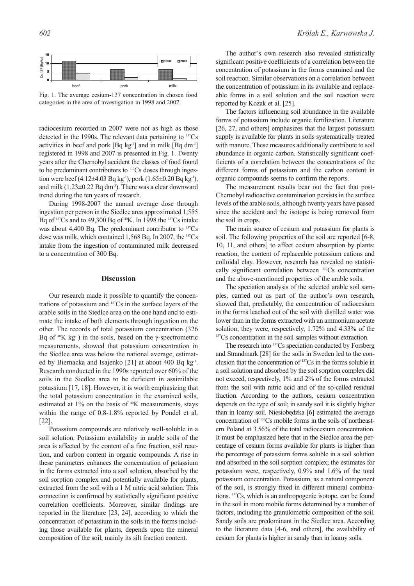

Fig. 1. The average cesium-137 concentration in chosen food categories in the area of investigation in 1998 and 2007.

radiocesium recorded in 2007 were not as high as those detected in the 1990s. The relevant data pertaining to <sup>137</sup>Cs activities in beef and pork  $[Bq \ kg^1]$  and in milk  $[Bq \ dm^3]$ registered in 1998 and 2007 is presented in Fig. 1. Twenty years after the Chernobyl accident the classes of food found to be predominant contributors to 137Cs doses through ingestion were beef (4.12±4.03 Bq kg<sup>-1</sup>), pork (1.65±0.20 Bq kg<sup>-1</sup>), and milk  $(1.23\pm0.22 \text{ Bq dm}^3)$ . There was a clear downward trend during the ten years of research.

During 1998-2007 the annual average dose through ingestion per person in the Siedlce area approximated 1,555 Bq of <sup>137</sup>Cs and to 49,300 Bq of <sup>40</sup>K. In 1998 the <sup>137</sup>Cs intake was about 4,400 Bq. The predominant contributor to <sup>137</sup>Cs dose was milk, which contained 1,568 Bq. In 2007, the 137Cs intake from the ingestion of contaminated milk decreased to a concentration of 300 Bq.

## **Discussion**

Our research made it possible to quantify the concentrations of potassium and 137Cs in the surface layers of the arable soils in the Siedlce area on the one hand and to estimate the intake of both elements through ingestion on the other. The records of total potassium concentration (326 Bq of  $40K$  kg<sup>-1</sup>) in the soils, based on the γ-spectrometric measurements, showed that potassium concentration in the Siedlce area was below the national average, estimated by Biernacka and Isajenko [21] at about 400 Bq kg-1. Research conducted in the 1990s reported over 60% of the soils in the Siedlce area to be deficient in assimilable potassium [17, 18]. However, it is worth emphasizing that the total potassium concentration in the examined soils, estimated at 1% on the basis of <sup>40</sup>K measurements, stays within the range of 0.8-1.8% reported by Pondel et al. [22].

Potassium compounds are relatively well-soluble in a soil solution. Potassium availability in arable soils of the area is affected by the content of a fine fraction, soil reaction, and carbon content in organic compounds. A rise in these parameters enhances the concentration of potassium in the forms extracted into a soil solution, absorbed by the soil sorption complex and potentially available for plants, extracted from the soil with a 1 M nitric acid solution. This connection is confirmed by statistically significant positive correlation coefficients. Moreover, similar findings are reported in the literature [23, 24], according to which the concentration of potassium in the soils in the forms including those available for plants, depends upon the mineral composition of the soil, mainly its silt fraction content.

The author's own research also revealed statistically significant positive coefficients of a correlation between the concentration of potassium in the forms examined and the soil reaction. Similar observations on a correlation between the concentration of potassium in its available and replaceable forms in a soil solution and the soil reaction were reported by Kozak et al. [25].

The factors influencing soil abundance in the available forms of potassium include organic fertilization. Literature [26, 27, and others] emphasizes that the largest potassium supply is available for plants in soils systematically treated with manure. These measures additionally contribute to soil abundance in organic carbon. Statistically significant coefficients of a correlation between the concentrations of the different forms of potassium and the carbon content in organic compounds seems to confirm the reports.

The measurement results bear out the fact that post-Chernobyl radioactive contamination persists in the surface levels of the arable soils, although twenty years have passed since the accident and the isotope is being removed from the soil in crops.

The main source of cesium and potassium for plants is soil. The following properties of the soil are reported [6-8, 10, 11, and others] to affect cesium absorption by plants: reaction, the content of replaceable potassium cations and colloidal clay. However, research has revealed no statistically significant correlation between 137Cs concentration and the above-mentioned properties of the arable soils.

The speciation analysis of the selected arable soil samples, carried out as part of the author's own research, showed that, predictably, the concentration of radiocesium in the forms leached out of the soil with distilled water was lower than in the forms extracted with an ammonium acetate solution; they were, respectively, 1.72% and 4.33% of the <sup>137</sup>Cs concentration in the soil samples without extraction.

The research into <sup>137</sup>Cs speciation conducted by Forsberg and Strandmark [28] for the soils in Sweden led to the conclusion that the concentration of 137Cs in the forms soluble in a soil solution and absorbed by the soil sorption complex did not exceed, respectively, 1% and 2% of the forms extracted from the soil with nitric acid and of the so-called residual fraction. According to the authors, cesium concentration depends on the type of soil; in sandy soil it is slightly higher than in loamy soil. Niesiobędzka [6] estimated the average concentration of 137Cs mobile forms in the soils of northeastern Poland at 3.56% of the total radiocesium concentration. It must be emphasized here that in the Siedlce area the percentage of cesium forms available for plants is higher than the percentage of potassium forms soluble in a soil solution and absorbed in the soil sorption complex; the estimates for potassium were, respectively, 0.9% and 1.6% of the total potassium concentration. Potassium, as a natural component of the soil, is strongly fixed in different mineral combinations. 137Cs, which is an anthropogenic isotope, can be found in the soil in more mobile forms determined by a number of factors, including the granulometric composition of the soil. Sandy soils are predominant in the Siedlce area. According to the literature data [4-6, and others], the availability of cesium for plants is higher in sandy than in loamy soils.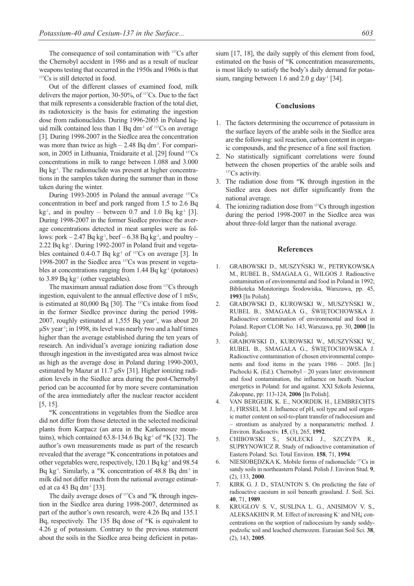The consequence of soil contamination with <sup>137</sup>Cs after the Chernobyl accident in 1986 and as a result of nuclear weapons testing that occurred in the 1950s and 1960s is that <sup>137</sup>Cs is still detected in food.

Out of the different classes of examined food, milk delivers the major portion, 30-50%, of 137Cs. Due to the fact that milk represents a considerable fraction of the total diet, its radiotoxicity is the basis for estimating the ingestion dose from radionuclides. During 1996-2005 in Poland liquid milk contained less than  $1$  Bq dm<sup>-3</sup> of  $137Cs$  on average [3]. During 1998-2007 in the Siedlce area the concentration was more than twice as high  $-2.48$  Bq dm<sup>-3</sup>. For comparison, in 2005 in Lithuania, Traidaraite et al. [29] found <sup>137</sup>Cs concentrations in milk to range between 1.088 and 3.000 Bq kg<sup>-1</sup>. The radionuclide was present at higher concentrations in the samples taken during the summer than in those taken during the winter.

During 1993-2005 in Poland the annual average 137Cs concentration in beef and pork ranged from 1.5 to 2.6 Bq  $kg<sup>-1</sup>$ , and in poultry – between 0.7 and 1.0 Bq kg<sup>-1</sup> [3]. During 1998-2007 in the former Siedlce province the average concentrations detected in meat samples were as follows: pork  $-2.47$  Bq kg<sup>-1</sup>, beef  $-6.38$  Bq kg<sup>-1</sup>, and poultry  $-$ 2.22 Bq kg-1. During 1992-2007 in Poland fruit and vegetables contained  $0.4$ -0.7 Bq kg<sup>-1</sup> of <sup>137</sup>Cs on average [3]. In 1998-2007 in the Siedlce area 137Cs was present in vegetables at concentrations ranging from 1.44 Bq  $kg<sup>-1</sup>$  (potatoes) to 3.89 Bq  $kg^{-1}$  (other vegetables).

The maximum annual radiation dose from 137Cs through ingestion, equivalent to the annual effective dose of 1 mSv, is estimated at 80,000 Bq [30]. The 137Cs intake from food in the former Siedlce province during the period 1998- 2007, roughly estimated at 1,555 Bq year<sup>1</sup>, was about 20  $μSv year<sup>1</sup>$ ; in 1998, its level was nearly two and a half times higher than the average established during the ten years of research. An individual's average ionizing radiation dose through ingestion in the investigated area was almost twice as high as the average dose in Poland during 1990-2003, estimated by Mazur at 11.7 μSv [31]. Higher ionizing radiation levels in the Siedlce area during the post-Chernobyl period can be accounted for by more severe contamination of the area immediately after the nuclear reactor accident [5, 15].

40K concentrations in vegetables from the Siedlce area did not differ from those detected in the selected medicinal plants from Karpacz (an area in the Karkonosze mountains), which contained  $63.8-134.6$  Bq kg<sup>-1</sup> of  $40K$  [32]. The author's own measurements made as part of the research revealed that the average 40K concentrations in potatoes and other vegetables were, respectively,  $120.1$  Bq kg<sup>-1</sup> and  $98.54$ Bq kg<sup>-1</sup>. Similarly, a  $40K$  concentration of 48.8 Bq dm<sup>-3</sup> in milk did not differ much from the national average estimated at ca 43 Bq dm<sup>-3</sup> [33].

The daily average doses of <sup>137</sup>Cs and <sup>40</sup>K through ingestion in the Siedlce area during 1998-2007, determined as part of the author's own research, were 4.26 Bq and 135.1 Bq, respectively. The 135 Bq dose of <sup>40</sup>K is equivalent to 4.26 g of potassium. Contrary to the previous statement about the soils in the Siedlce area being deficient in potassium [17, 18], the daily supply of this element from food, estimated on the basis of <sup>40</sup>K concentration measurements, is most likely to satisfy the body's daily demand for potassium, ranging between 1.6 and 2.0 g day<sup>-1</sup> [34].

#### **Conclusions**

- 1. The factors determining the occurrence of potassium in the surface layers of the arable soils in the Siedlce area are the following: soil reaction, carbon content in organic compounds, and the presence of a fine soil fraction.
- 2. No statistically significant correlations were found between the chosen properties of the arable soils and <sup>137</sup>Cs activity.
- 3. The radiation dose from 40K through ingestion in the Siedlce area does not differ significantly from the national average.
- 4. The ionizing radiation dose from 137Cs through ingestion during the period 1998-2007 in the Siedlce area was about three-fold larger than the national average.

#### **References**

- 1. GRABOWSKI D., MUSZYŃSKI W., PETRYKOWSKA M., RUBEL B., SMAGAŁA G., WILGOS J. Radioactive contamination of environmental and food in Poland in 1992; Biblioteka Monitoringu Środowiska, Warszawa, pp. 45, **1993** [In Polish].
- 2. GRABOWSKI D., KUROWSKI W., MUSZYŃSKI W., RUBEL B., SMAGAŁA G., ŚWIĘTOCHOWSKA J. Radioactive contamination of environmental and food in Poland. Report CLOR No. 143, Warszawa, pp. 30, **2000** [In Polish].
- 3. GRABOWSKI D., KUROWSKI W., MUSZYŃSKI W., RUBEL B., SMAGAŁA G., ŚWIĘTOCHOWSKA J. Radioactive contamination of chosen environmental components and food items in the years 1986 – 2005. [In:] Pachocki K. (Ed.). Chernobyl – 20 years later: environment and food contamination, the influence on heath. Nuclear energetics in Poland: for and against. XXI Szkoła Jesienna, Zakopane, pp: 113-124, **2006** [In Polish].
- 4. VAN BERGEIJK K. E., NOORDIJK H., LEMBRECHTS J., FIRSSEL M. J. Influence of pH, soil type and soil organic matter content on soil-to-plant transfer of radiocesium and – strontium as analyzed by a nonparametric method. J. Environ. Radioactiv. **15**, (3), 265, **1992**.
- 5. CHIBOWSKI S., SOLECKI J., SZCZYPA R., SUPRYNOWICZ R. Study of radioactive contamination of Eastern Poland. Sci. Total Environ. **158**, 71, **1994**.
- 6. NIESIOBĘDZKA K. Mobile forms of radionuclide 137Cs in sandy soils in northeastern Poland. Polish J. Environ Stud. **9**, (2), 133, **2000**.
- 7. KIRK G. J. D., STAUNTON S. On predicting the fate of radioactive caesium in soil beneath grassland. J. Soil. Sci. **40**, 71, **1989**.
- 8. KRUGLOV S. V., SUSLINA L. G., ANISIMOV V. S., ALEKSAKHIN R. M. Effect of increasing  $K^+$  and  $NH_4^+$  concentrations on the sorption of radiocesium by sandy soddypodzolic soil and leached chernozem. Eurasian Soil Sci. **38**, (2), 143, **2005**.